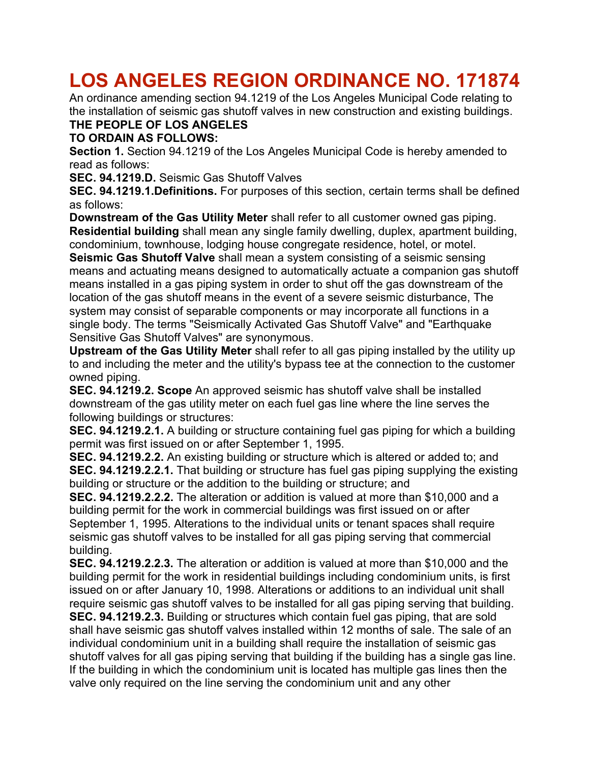# **LOS ANGELES REGION ORDINANCE NO. 171874**

An ordinance amending section 94.1219 of the Los Angeles Municipal Code relating to the installation of seismic gas shutoff valves in new construction and existing buildings. **THE PEOPLE OF LOS ANGELES**

### **TO ORDAIN AS FOLLOWS:**

**Section 1.** Section 94.1219 of the Los Angeles Municipal Code is hereby amended to read as follows:

**SEC. 94.1219.D.** Seismic Gas Shutoff Valves

**SEC. 94.1219.1.Definitions.** For purposes of this section, certain terms shall be defined as follows:

**Downstream of the Gas Utility Meter** shall refer to all customer owned gas piping. **Residential building** shall mean any single family dwelling, duplex, apartment building, condominium, townhouse, lodging house congregate residence, hotel, or motel.

**Seismic Gas Shutoff Valve** shall mean a system consisting of a seismic sensing means and actuating means designed to automatically actuate a companion gas shutoff means installed in a gas piping system in order to shut off the gas downstream of the location of the gas shutoff means in the event of a severe seismic disturbance, The system may consist of separable components or may incorporate all functions in a single body. The terms "Seismically Activated Gas Shutoff Valve" and "Earthquake Sensitive Gas Shutoff Valves" are synonymous.

**Upstream of the Gas Utility Meter** shall refer to all gas piping installed by the utility up to and including the meter and the utility's bypass tee at the connection to the customer owned piping.

**SEC. 94.1219.2. Scope** An approved seismic has shutoff valve shall be installed downstream of the gas utility meter on each fuel gas line where the line serves the following buildings or structures:

**SEC. 94.1219.2.1.** A building or structure containing fuel gas piping for which a building permit was first issued on or after September 1, 1995.

**SEC. 94.1219.2.2.** An existing building or structure which is altered or added to; and **SEC. 94.1219.2.2.1.** That building or structure has fuel gas piping supplying the existing building or structure or the addition to the building or structure; and

**SEC. 94.1219.2.2.2.** The alteration or addition is valued at more than \$10,000 and a building permit for the work in commercial buildings was first issued on or after September 1, 1995. Alterations to the individual units or tenant spaces shall require seismic gas shutoff valves to be installed for all gas piping serving that commercial building.

**SEC. 94.1219.2.2.3.** The alteration or addition is valued at more than \$10,000 and the building permit for the work in residential buildings including condominium units, is first issued on or after January 10, 1998. Alterations or additions to an individual unit shall require seismic gas shutoff valves to be installed for all gas piping serving that building. **SEC. 94.1219.2.3.** Building or structures which contain fuel gas piping, that are sold shall have seismic gas shutoff valves installed within 12 months of sale. The sale of an individual condominium unit in a building shall require the installation of seismic gas shutoff valves for all gas piping serving that building if the building has a single gas line. If the building in which the condominium unit is located has multiple gas lines then the valve only required on the line serving the condominium unit and any other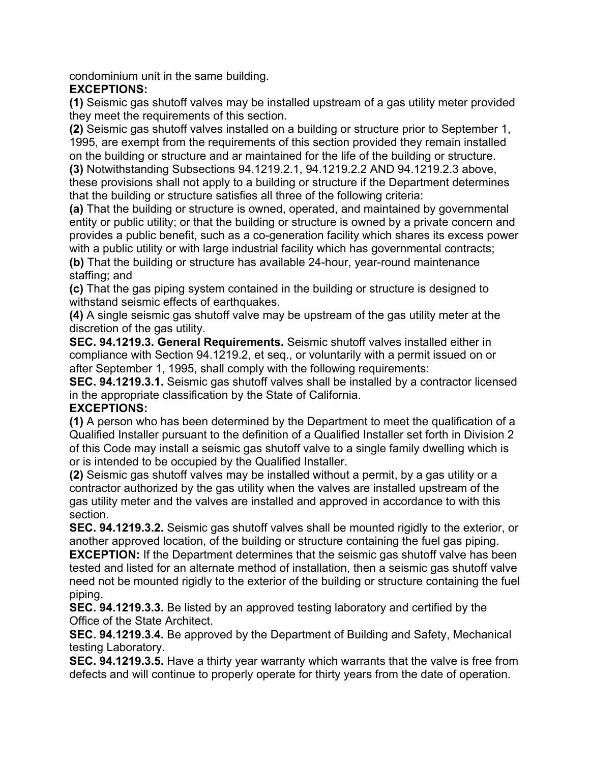condominium unit in the same building.

### **EXCEPTIONS:**

**(1)** Seismic gas shutoff valves may be installed upstream of a gas utility meter provided they meet the requirements of this section.

**(2)** Seismic gas shutoff valves installed on a building or structure prior to September 1, 1995, are exempt from the requirements of this section provided they remain installed on the building or structure and ar maintained for the life of the building or structure.

**(3)** Notwithstanding Subsections 94.1219.2.1, 94.1219.2.2 AND 94.1219.2.3 above, these provisions shall not apply to a building or structure if the Department determines that the building or structure satisfies all three of the following criteria:

**(a)** That the building or structure is owned, operated, and maintained by governmental entity or public utility; or that the building or structure is owned by a private concern and provides a public benefit, such as a co-generation facility which shares its excess power with a public utility or with large industrial facility which has governmental contracts;

**(b)** That the building or structure has available 24-hour, year-round maintenance staffing; and

**(c)** That the gas piping system contained in the building or structure is designed to withstand seismic effects of earthquakes.

**(4)** A single seismic gas shutoff valve may be upstream of the gas utility meter at the discretion of the gas utility.

**SEC. 94.1219.3. General Requirements.** Seismic shutoff valves installed either in compliance with Section 94.1219.2, et seq., or voluntarily with a permit issued on or after September 1, 1995, shall comply with the following requirements:

**SEC. 94.1219.3.1.** Seismic gas shutoff valves shall be installed by a contractor licensed in the appropriate classification by the State of California.

#### **EXCEPTIONS:**

**(1)** A person who has been determined by the Department to meet the qualification of a Qualified Installer pursuant to the definition of a Qualified Installer set forth in Division 2 of this Code may install a seismic gas shutoff valve to a single family dwelling which is or is intended to be occupied by the Qualified Installer.

**(2)** Seismic gas shutoff valves may be installed without a permit, by a gas utility or a contractor authorized by the gas utility when the valves are installed upstream of the gas utility meter and the valves are installed and approved in accordance to with this section.

**SEC. 94.1219.3.2.** Seismic gas shutoff valves shall be mounted rigidly to the exterior, or another approved location, of the building or structure containing the fuel gas piping.

**EXCEPTION:** If the Department determines that the seismic gas shutoff valve has been tested and listed for an alternate method of installation, then a seismic gas shutoff valve need not be mounted rigidly to the exterior of the building or structure containing the fuel piping.

**SEC. 94.1219.3.3.** Be listed by an approved testing laboratory and certified by the Office of the State Architect.

**SEC. 94.1219.3.4.** Be approved by the Department of Building and Safety, Mechanical testing Laboratory.

**SEC. 94.1219.3.5.** Have a thirty year warranty which warrants that the valve is free from defects and will continue to properly operate for thirty years from the date of operation.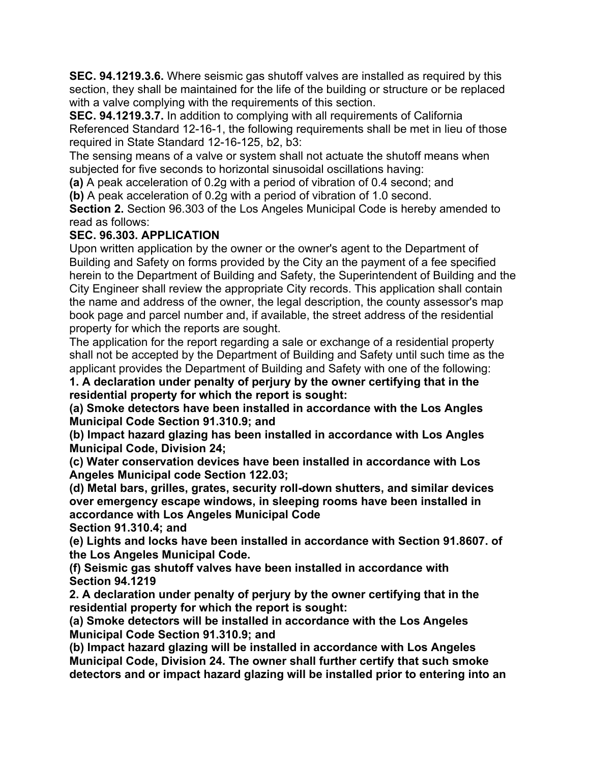**SEC. 94.1219.3.6.** Where seismic gas shutoff valves are installed as required by this section, they shall be maintained for the life of the building or structure or be replaced with a valve complying with the requirements of this section.

**SEC. 94.1219.3.7.** In addition to complying with all requirements of California Referenced Standard 12-16-1, the following requirements shall be met in lieu of those required in State Standard 12-16-125, b2, b3:

The sensing means of a valve or system shall not actuate the shutoff means when subjected for five seconds to horizontal sinusoidal oscillations having:

**(a)** A peak acceleration of 0.2g with a period of vibration of 0.4 second; and

**(b)** A peak acceleration of 0.2g with a period of vibration of 1.0 second.

**Section 2.** Section 96.303 of the Los Angeles Municipal Code is hereby amended to read as follows:

## **SEC. 96.303. APPLICATION**

Upon written application by the owner or the owner's agent to the Department of Building and Safety on forms provided by the City an the payment of a fee specified herein to the Department of Building and Safety, the Superintendent of Building and the City Engineer shall review the appropriate City records. This application shall contain the name and address of the owner, the legal description, the county assessor's map book page and parcel number and, if available, the street address of the residential property for which the reports are sought.

The application for the report regarding a sale or exchange of a residential property shall not be accepted by the Department of Building and Safety until such time as the applicant provides the Department of Building and Safety with one of the following:

**1. A declaration under penalty of perjury by the owner certifying that in the residential property for which the report is sought:**

**(a) Smoke detectors have been installed in accordance with the Los Angles Municipal Code Section 91.310.9; and**

**(b) Impact hazard glazing has been installed in accordance with Los Angles Municipal Code, Division 24;**

**(c) Water conservation devices have been installed in accordance with Los Angeles Municipal code Section 122.03;**

**(d) Metal bars, grilles, grates, security roll-down shutters, and similar devices over emergency escape windows, in sleeping rooms have been installed in accordance with Los Angeles Municipal Code**

**Section 91.310.4; and**

**(e) Lights and locks have been installed in accordance with Section 91.8607. of the Los Angeles Municipal Code.**

**(f) Seismic gas shutoff valves have been installed in accordance with Section 94.1219**

**2. A declaration under penalty of perjury by the owner certifying that in the residential property for which the report is sought:**

**(a) Smoke detectors will be installed in accordance with the Los Angeles Municipal Code Section 91.310.9; and**

**(b) Impact hazard glazing will be installed in accordance with Los Angeles Municipal Code, Division 24. The owner shall further certify that such smoke detectors and or impact hazard glazing will be installed prior to entering into an**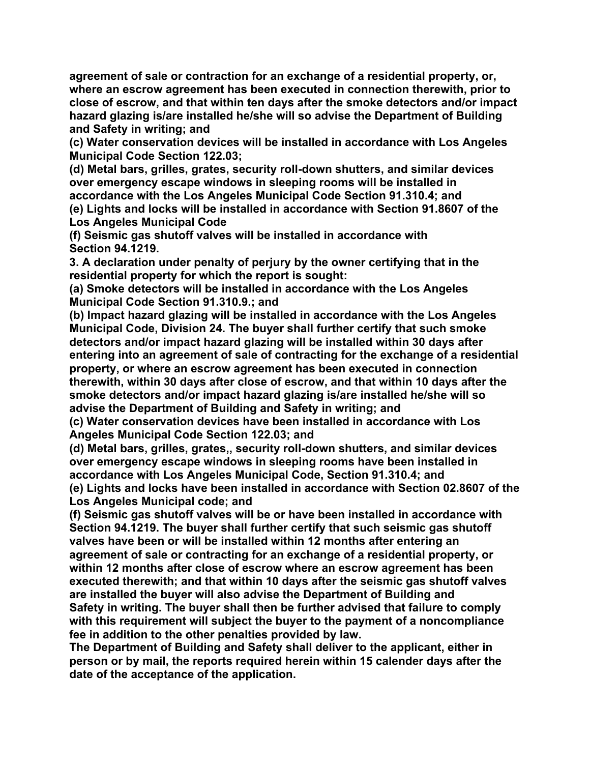**agreement of sale or contraction for an exchange of a residential property, or, where an escrow agreement has been executed in connection therewith, prior to close of escrow, and that within ten days after the smoke detectors and/or impact hazard glazing is/are installed he/she will so advise the Department of Building and Safety in writing; and**

**(c) Water conservation devices will be installed in accordance with Los Angeles Municipal Code Section 122.03;**

**(d) Metal bars, grilles, grates, security roll-down shutters, and similar devices over emergency escape windows in sleeping rooms will be installed in accordance with the Los Angeles Municipal Code Section 91.310.4; and (e) Lights and locks will be installed in accordance with Section 91.8607 of the Los Angeles Municipal Code**

**(f) Seismic gas shutoff valves will be installed in accordance with Section 94.1219.**

**3. A declaration under penalty of perjury by the owner certifying that in the residential property for which the report is sought:**

**(a) Smoke detectors will be installed in accordance with the Los Angeles Municipal Code Section 91.310.9.; and**

**(b) Impact hazard glazing will be installed in accordance with the Los Angeles Municipal Code, Division 24. The buyer shall further certify that such smoke detectors and/or impact hazard glazing will be installed within 30 days after entering into an agreement of sale of contracting for the exchange of a residential property, or where an escrow agreement has been executed in connection therewith, within 30 days after close of escrow, and that within 10 days after the smoke detectors and/or impact hazard glazing is/are installed he/she will so advise the Department of Building and Safety in writing; and**

**(c) Water conservation devices have been installed in accordance with Los Angeles Municipal Code Section 122.03; and**

**(d) Metal bars, grilles, grates,, security roll-down shutters, and similar devices over emergency escape windows in sleeping rooms have been installed in accordance with Los Angeles Municipal Code, Section 91.310.4; and**

**(e) Lights and locks have been installed in accordance with Section 02.8607 of the Los Angeles Municipal code; and**

**(f) Seismic gas shutoff valves will be or have been installed in accordance with Section 94.1219. The buyer shall further certify that such seismic gas shutoff valves have been or will be installed within 12 months after entering an agreement of sale or contracting for an exchange of a residential property, or within 12 months after close of escrow where an escrow agreement has been executed therewith; and that within 10 days after the seismic gas shutoff valves are installed the buyer will also advise the Department of Building and Safety in writing. The buyer shall then be further advised that failure to comply with this requirement will subject the buyer to the payment of a noncompliance fee in addition to the other penalties provided by law.**

**The Department of Building and Safety shall deliver to the applicant, either in person or by mail, the reports required herein within 15 calender days after the date of the acceptance of the application.**